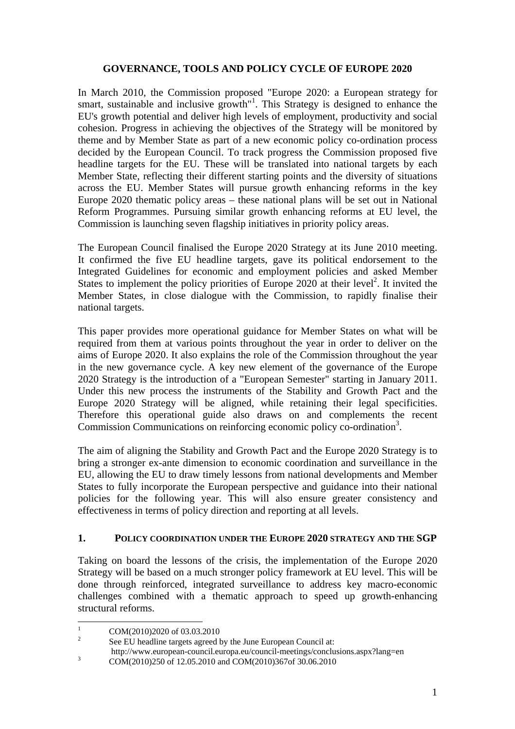### **GOVERNANCE, TOOLS AND POLICY CYCLE OF EUROPE 2020**

In March 2010, the Commission proposed "Europe 2020: a European strategy for smart, sustainable and inclusive growth<sup>"1</sup>. This Strategy is designed to enhance the EU's growth potential and deliver high levels of employment, productivity and social cohesion. Progress in achieving the objectives of the Strategy will be monitored by theme and by Member State as part of a new economic policy co-ordination process decided by the European Council. To track progress the Commission proposed five headline targets for the EU. These will be translated into national targets by each Member State, reflecting their different starting points and the diversity of situations across the EU. Member States will pursue growth enhancing reforms in the key Europe 2020 thematic policy areas – these national plans will be set out in National Reform Programmes. Pursuing similar growth enhancing reforms at EU level, the Commission is launching seven flagship initiatives in priority policy areas.

The European Council finalised the Europe 2020 Strategy at its June 2010 meeting. It confirmed the five EU headline targets, gave its political endorsement to the Integrated Guidelines for economic and employment policies and asked Member States to implement the policy priorities of Europe 2020 at their level<sup>2</sup>. It invited the Member States, in close dialogue with the Commission, to rapidly finalise their national targets.

This paper provides more operational guidance for Member States on what will be required from them at various points throughout the year in order to deliver on the aims of Europe 2020. It also explains the role of the Commission throughout the year in the new governance cycle. A key new element of the governance of the Europe 2020 Strategy is the introduction of a "European Semester" starting in January 2011. Under this new process the instruments of the Stability and Growth Pact and the Europe 2020 Strategy will be aligned, while retaining their legal specificities. Therefore this operational guide also draws on and complements the recent Commission Communications on reinforcing economic policy co-ordination<sup>3</sup>.

The aim of aligning the Stability and Growth Pact and the Europe 2020 Strategy is to bring a stronger ex-ante dimension to economic coordination and surveillance in the EU, allowing the EU to draw timely lessons from national developments and Member States to fully incorporate the European perspective and guidance into their national policies for the following year. This will also ensure greater consistency and effectiveness in terms of policy direction and reporting at all levels.

#### **1. POLICY COORDINATION UNDER THE EUROPE 2020 STRATEGY AND THE SGP**

Taking on board the lessons of the crisis, the implementation of the Europe 2020 Strategy will be based on a much stronger policy framework at EU level. This will be done through reinforced, integrated surveillance to address key macro-economic challenges combined with a thematic approach to speed up growth-enhancing structural reforms.

 $\frac{1}{1}$ COM(2010)2020 of 03.03.2010

<sup>2</sup> See EU headline targets agreed by the June European Council at: http://www.european-council.europa.eu/council-meetings/conclusions.aspx?lang=en<br>3<br>3<br>3

COM(2010)250 of 12.05.2010 and COM(2010)367of 30.06.2010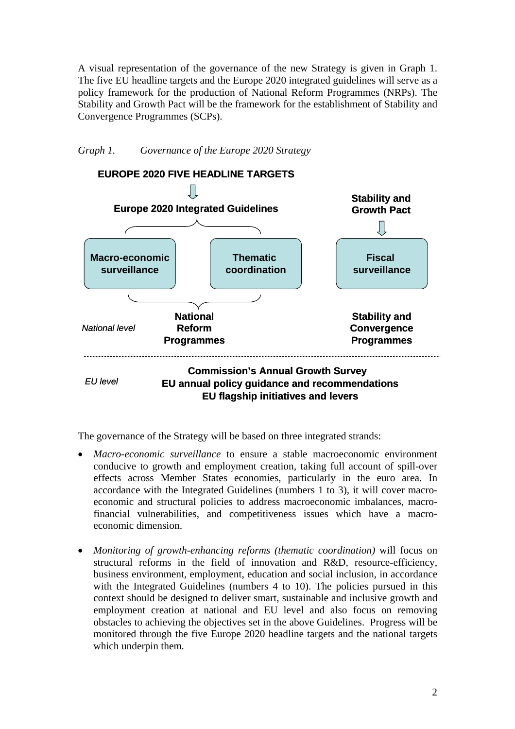A visual representation of the governance of the new Strategy is given in Graph 1. The five EU headline targets and the Europe 2020 integrated guidelines will serve as a policy framework for the production of National Reform Programmes (NRPs). The Stability and Growth Pact will be the framework for the establishment of Stability and Convergence Programmes (SCPs).

*Graph 1. Governance of the Europe 2020 Strategy* 



The governance of the Strategy will be based on three integrated strands:

- *Macro-economic surveillance* to ensure a stable macroeconomic environment conducive to growth and employment creation, taking full account of spill-over effects across Member States economies, particularly in the euro area. In accordance with the Integrated Guidelines (numbers 1 to 3), it will cover macroeconomic and structural policies to address macroeconomic imbalances, macrofinancial vulnerabilities, and competitiveness issues which have a macroeconomic dimension.
- *Monitoring of growth-enhancing reforms (thematic coordination)* will focus on structural reforms in the field of innovation and R&D, resource-efficiency, business environment, employment, education and social inclusion, in accordance with the Integrated Guidelines (numbers 4 to 10). The policies pursued in this context should be designed to deliver smart, sustainable and inclusive growth and employment creation at national and EU level and also focus on removing obstacles to achieving the objectives set in the above Guidelines. Progress will be monitored through the five Europe 2020 headline targets and the national targets which underpin them*.*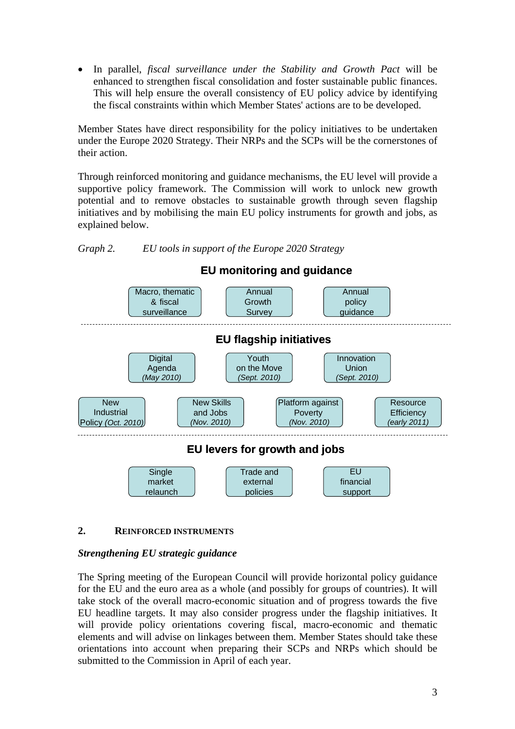• In parallel, *fiscal surveillance under the Stability and Growth Pact* will be enhanced to strengthen fiscal consolidation and foster sustainable public finances. This will help ensure the overall consistency of EU policy advice by identifying the fiscal constraints within which Member States' actions are to be developed.

Member States have direct responsibility for the policy initiatives to be undertaken under the Europe 2020 Strategy. Their NRPs and the SCPs will be the cornerstones of their action.

Through reinforced monitoring and guidance mechanisms, the EU level will provide a supportive policy framework. The Commission will work to unlock new growth potential and to remove obstacles to sustainable growth through seven flagship initiatives and by mobilising the main EU policy instruments for growth and jobs, as explained below.





# **2. REINFORCED INSTRUMENTS**

# *Strengthening EU strategic guidance*

The Spring meeting of the European Council will provide horizontal policy guidance for the EU and the euro area as a whole (and possibly for groups of countries). It will take stock of the overall macro-economic situation and of progress towards the five EU headline targets. It may also consider progress under the flagship initiatives. It will provide policy orientations covering fiscal, macro-economic and thematic elements and will advise on linkages between them. Member States should take these orientations into account when preparing their SCPs and NRPs which should be submitted to the Commission in April of each year.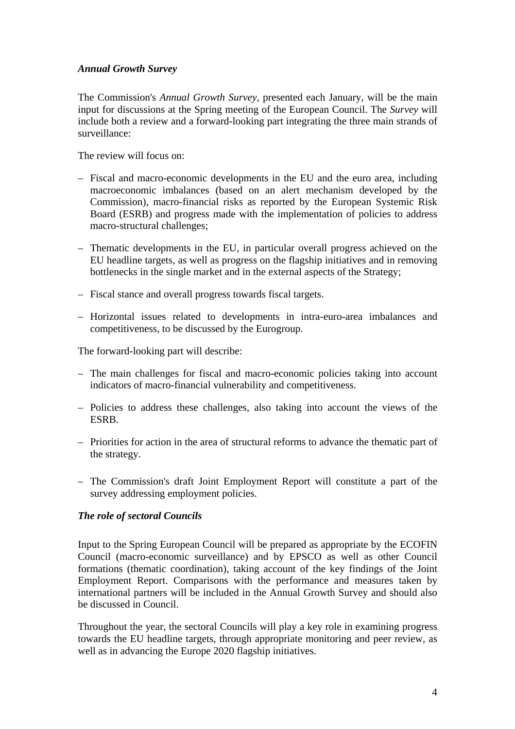# *Annual Growth Survey*

The Commission's *Annual Growth Survey*, presented each January, will be the main input for discussions at the Spring meeting of the European Council. The *Survey* will include both a review and a forward-looking part integrating the three main strands of surveillance:

The review will focus on:

- Fiscal and macro-economic developments in the EU and the euro area, including macroeconomic imbalances (based on an alert mechanism developed by the Commission), macro-financial risks as reported by the European Systemic Risk Board (ESRB) and progress made with the implementation of policies to address macro-structural challenges;
- Thematic developments in the EU, in particular overall progress achieved on the EU headline targets, as well as progress on the flagship initiatives and in removing bottlenecks in the single market and in the external aspects of the Strategy;
- Fiscal stance and overall progress towards fiscal targets.
- Horizontal issues related to developments in intra-euro-area imbalances and competitiveness, to be discussed by the Eurogroup.

The forward-looking part will describe:

- The main challenges for fiscal and macro-economic policies taking into account indicators of macro-financial vulnerability and competitiveness.
- Policies to address these challenges, also taking into account the views of the ESRB.
- Priorities for action in the area of structural reforms to advance the thematic part of the strategy.
- The Commission's draft Joint Employment Report will constitute a part of the survey addressing employment policies.

#### *The role of sectoral Councils*

Input to the Spring European Council will be prepared as appropriate by the ECOFIN Council (macro-economic surveillance) and by EPSCO as well as other Council formations (thematic coordination), taking account of the key findings of the Joint Employment Report. Comparisons with the performance and measures taken by international partners will be included in the Annual Growth Survey and should also be discussed in Council.

Throughout the year, the sectoral Councils will play a key role in examining progress towards the EU headline targets, through appropriate monitoring and peer review, as well as in advancing the Europe 2020 flagship initiatives.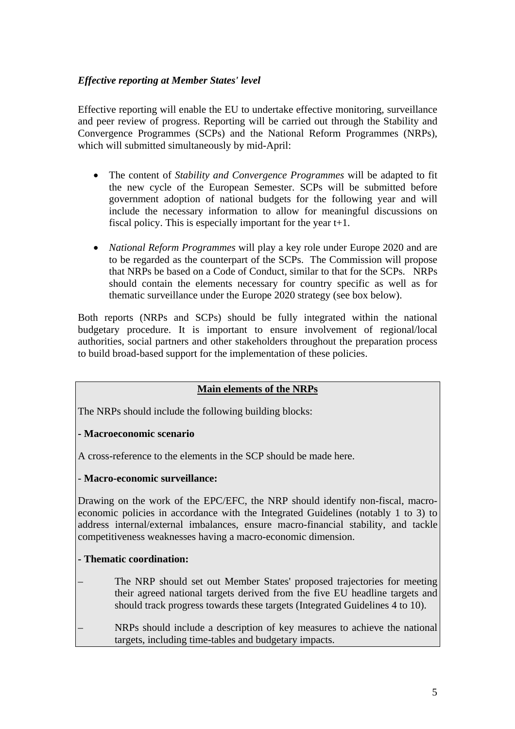# *Effective reporting at Member States' level*

Effective reporting will enable the EU to undertake effective monitoring, surveillance and peer review of progress. Reporting will be carried out through the Stability and Convergence Programmes (SCPs) and the National Reform Programmes (NRPs), which will submitted simultaneously by mid-April:

- The content of *Stability and Convergence Programmes* will be adapted to fit the new cycle of the European Semester. SCPs will be submitted before government adoption of national budgets for the following year and will include the necessary information to allow for meaningful discussions on fiscal policy. This is especially important for the year t+1.
- *National Reform Programmes* will play a key role under Europe 2020 and are to be regarded as the counterpart of the SCPs. The Commission will propose that NRPs be based on a Code of Conduct, similar to that for the SCPs. NRPs should contain the elements necessary for country specific as well as for thematic surveillance under the Europe 2020 strategy (see box below).

Both reports (NRPs and SCPs) should be fully integrated within the national budgetary procedure. It is important to ensure involvement of regional/local authorities, social partners and other stakeholders throughout the preparation process to build broad-based support for the implementation of these policies.

# **Main elements of the NRPs**

The NRPs should include the following building blocks:

# **- Macroeconomic scenario**

A cross-reference to the elements in the SCP should be made here.

#### - **Macro-economic surveillance:**

Drawing on the work of the EPC/EFC, the NRP should identify non-fiscal, macroeconomic policies in accordance with the Integrated Guidelines (notably 1 to 3) to address internal/external imbalances, ensure macro-financial stability, and tackle competitiveness weaknesses having a macro-economic dimension.

# **- Thematic coordination:**

– The NRP should set out Member States' proposed trajectories for meeting their agreed national targets derived from the five EU headline targets and should track progress towards these targets (Integrated Guidelines 4 to 10).

– NRPs should include a description of key measures to achieve the national targets, including time-tables and budgetary impacts.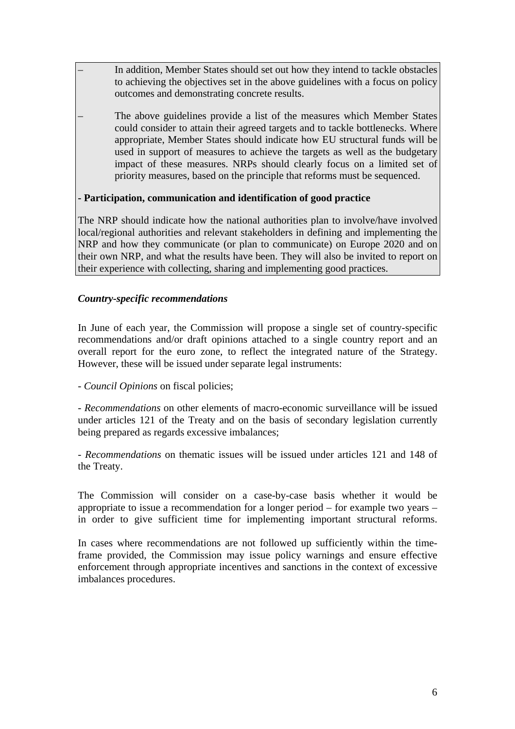– In addition, Member States should set out how they intend to tackle obstacles to achieving the objectives set in the above guidelines with a focus on policy outcomes and demonstrating concrete results.

– The above guidelines provide a list of the measures which Member States could consider to attain their agreed targets and to tackle bottlenecks. Where appropriate, Member States should indicate how EU structural funds will be used in support of measures to achieve the targets as well as the budgetary impact of these measures. NRPs should clearly focus on a limited set of priority measures, based on the principle that reforms must be sequenced.

### **- Participation, communication and identification of good practice**

The NRP should indicate how the national authorities plan to involve/have involved local/regional authorities and relevant stakeholders in defining and implementing the NRP and how they communicate (or plan to communicate) on Europe 2020 and on their own NRP, and what the results have been. They will also be invited to report on their experience with collecting, sharing and implementing good practices.

### *Country-specific recommendations*

In June of each year, the Commission will propose a single set of country-specific recommendations and/or draft opinions attached to a single country report and an overall report for the euro zone, to reflect the integrated nature of the Strategy. However, these will be issued under separate legal instruments:

- *Council Opinions* on fiscal policies;

- *Recommendations* on other elements of macro-economic surveillance will be issued under articles 121 of the Treaty and on the basis of secondary legislation currently being prepared as regards excessive imbalances;

- *Recommendations* on thematic issues will be issued under articles 121 and 148 of the Treaty.

The Commission will consider on a case-by-case basis whether it would be appropriate to issue a recommendation for a longer period – for example two years – in order to give sufficient time for implementing important structural reforms.

In cases where recommendations are not followed up sufficiently within the timeframe provided, the Commission may issue policy warnings and ensure effective enforcement through appropriate incentives and sanctions in the context of excessive imbalances procedures.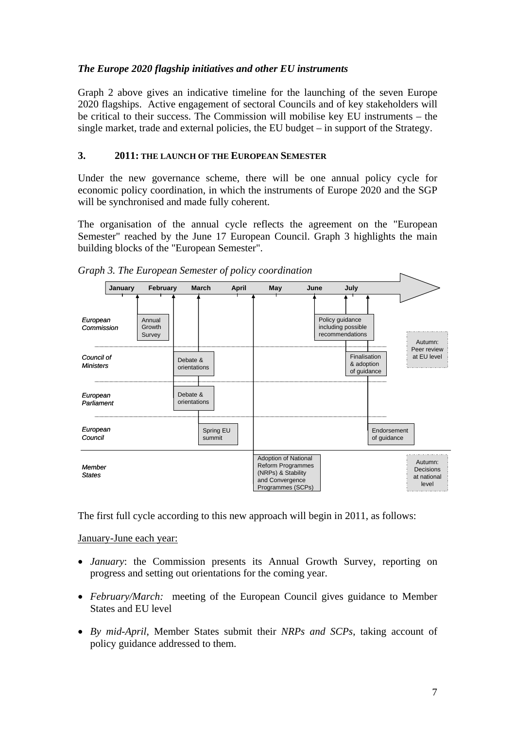# *The Europe 2020 flagship initiatives and other EU instruments*

Graph 2 above gives an indicative timeline for the launching of the seven Europe 2020 flagships. Active engagement of sectoral Councils and of key stakeholders will be critical to their success. The Commission will mobilise key EU instruments – the single market, trade and external policies, the EU budget – in support of the Strategy.

### **3. 2011: THE LAUNCH OF THE EUROPEAN SEMESTER**

Under the new governance scheme, there will be one annual policy cycle for economic policy coordination, in which the instruments of Europe 2020 and the SGP will be synchronised and made fully coherent.

The organisation of the annual cycle reflects the agreement on the "European Semester" reached by the June 17 European Council. Graph 3 highlights the main building blocks of the "European Semester".



*Graph 3. The European Semester of policy coordination* 

The first full cycle according to this new approach will begin in 2011, as follows:

January-June each year:

- *January*: the Commission presents its Annual Growth Survey, reporting on progress and setting out orientations for the coming year.
- *February/March:* meeting of the European Council gives guidance to Member States and EU level
- *By mid-April*, Member States submit their *NRPs and SCPs*, taking account of policy guidance addressed to them.